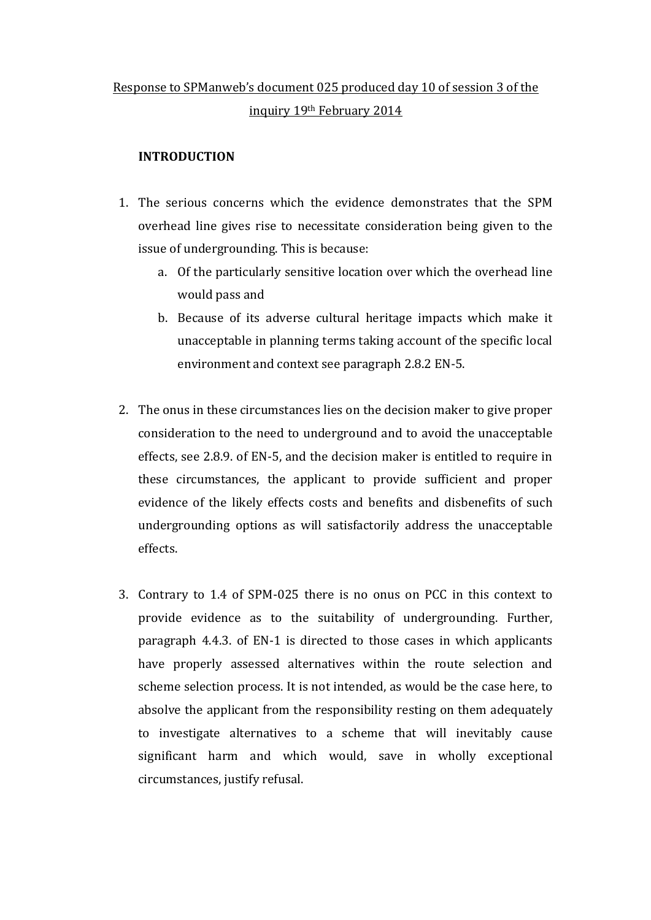## Response to SPManweb's document 025 produced day 10 of session 3 of the inquiry 19th February 2014

## **INTRODUCTION**

- 1. The serious concerns which the evidence demonstrates that the SPM overhead line gives rise to necessitate consideration being given to the issue of undergrounding. This is because:
	- a. Of the particularly sensitive location over which the overhead line would pass and
	- b. Because of its adverse cultural heritage impacts which make it unacceptable in planning terms taking account of the specific local environment and context see paragraph 2.8.2 EN-5.
- 2. The onus in these circumstances lies on the decision maker to give proper consideration to the need to underground and to avoid the unacceptable effects, see 2.8.9. of EN-5, and the decision maker is entitled to require in these circumstances, the applicant to provide sufficient and proper evidence of the likely effects costs and benefits and disbenefits of such undergrounding options as will satisfactorily address the unacceptable effects.
- 3. Contrary to 1.4 of SPM-025 there is no onus on PCC in this context to provide evidence as to the suitability of undergrounding. Further, paragraph 4.4.3. of EN-1 is directed to those cases in which applicants have properly assessed alternatives within the route selection and scheme selection process. It is not intended, as would be the case here, to absolve the applicant from the responsibility resting on them adequately to investigate alternatives to a scheme that will inevitably cause significant harm and which would, save in wholly exceptional circumstances, justify refusal.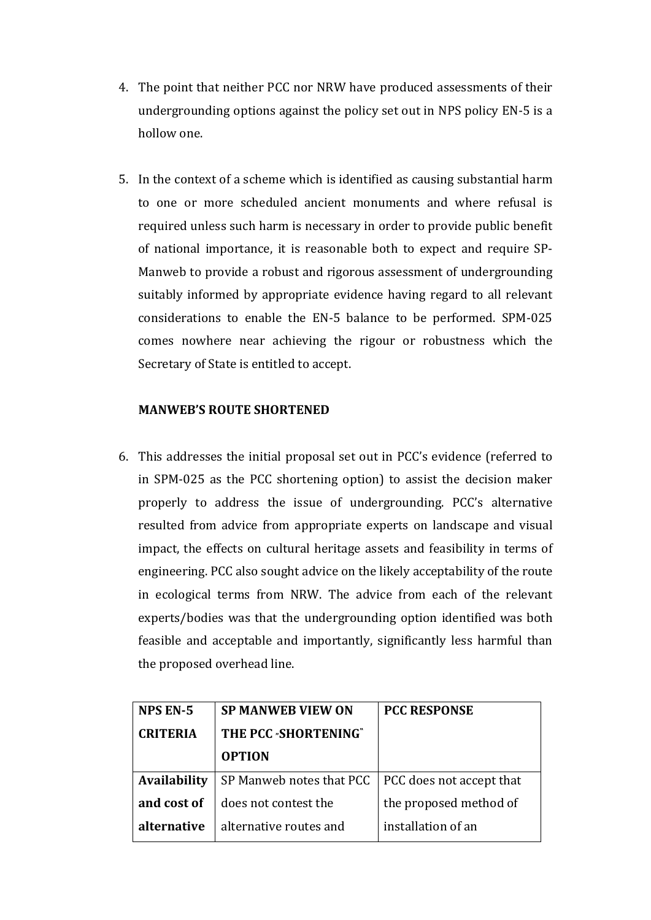- 4. The point that neither PCC nor NRW have produced assessments of their undergrounding options against the policy set out in NPS policy EN-5 is a hollow one.
- 5. In the context of a scheme which is identified as causing substantial harm to one or more scheduled ancient monuments and where refusal is required unless such harm is necessary in order to provide public benefit of national importance, it is reasonable both to expect and require SP-Manweb to provide a robust and rigorous assessment of undergrounding suitably informed by appropriate evidence having regard to all relevant considerations to enable the EN-5 balance to be performed. SPM-025 comes nowhere near achieving the rigour or robustness which the Secretary of State is entitled to accept.

## **MANWEB'S ROUTE SHORTENED**

6. This addresses the initial proposal set out in PCC's evidence (referred to in SPM-025 as the PCC shortening option) to assist the decision maker properly to address the issue of undergrounding. PCC's alternative resulted from advice from appropriate experts on landscape and visual impact, the effects on cultural heritage assets and feasibility in terms of engineering. PCC also sought advice on the likely acceptability of the route in ecological terms from NRW. The advice from each of the relevant experts/bodies was that the undergrounding option identified was both feasible and acceptable and importantly, significantly less harmful than the proposed overhead line.

| <b>NPS EN-5</b>     | <b>SP MANWEB VIEW ON</b> | <b>PCC RESPONSE</b>      |
|---------------------|--------------------------|--------------------------|
| <b>CRITERIA</b>     | THE PCC »SHORTENING"     |                          |
|                     | <b>OPTION</b>            |                          |
| <b>Availability</b> | SP Manweb notes that PCC | PCC does not accept that |
| and cost of         | does not contest the     | the proposed method of   |
| alternative         | alternative routes and   | installation of an       |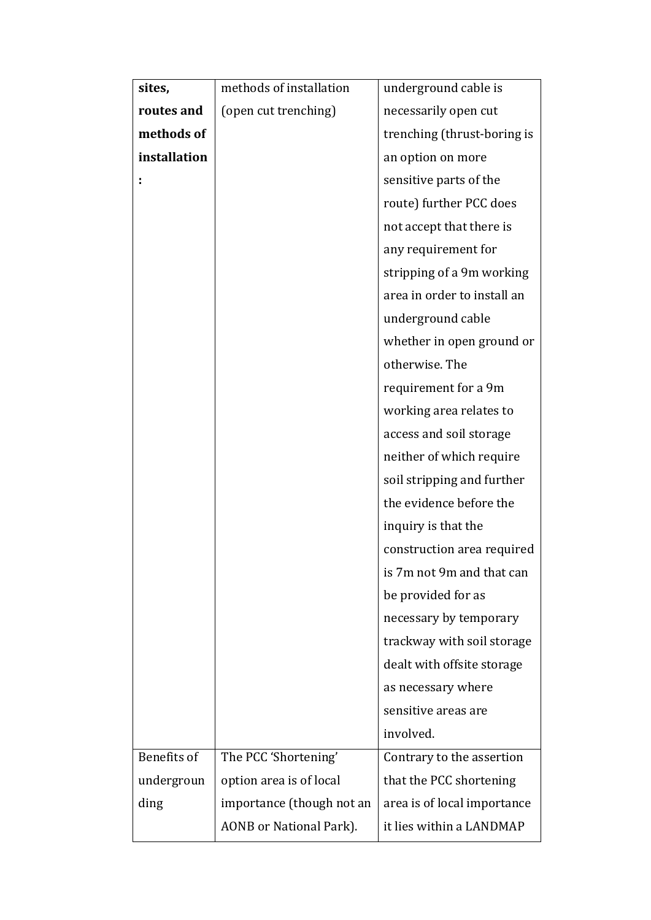| sites,       | methods of installation   | underground cable is        |
|--------------|---------------------------|-----------------------------|
| routes and   | (open cut trenching)      | necessarily open cut        |
| methods of   |                           | trenching (thrust-boring is |
| installation |                           | an option on more           |
|              |                           | sensitive parts of the      |
|              |                           | route) further PCC does     |
|              |                           | not accept that there is    |
|              |                           | any requirement for         |
|              |                           | stripping of a 9m working   |
|              |                           | area in order to install an |
|              |                           | underground cable           |
|              |                           | whether in open ground or   |
|              |                           | otherwise. The              |
|              |                           | requirement for a 9m        |
|              |                           | working area relates to     |
|              |                           | access and soil storage     |
|              |                           | neither of which require    |
|              |                           | soil stripping and further  |
|              |                           | the evidence before the     |
|              |                           | inquiry is that the         |
|              |                           | construction area required  |
|              |                           | is 7m not 9m and that can   |
|              |                           | be provided for as          |
|              |                           | necessary by temporary      |
|              |                           | trackway with soil storage  |
|              |                           | dealt with offsite storage  |
|              |                           | as necessary where          |
|              |                           | sensitive areas are         |
|              |                           | involved.                   |
| Benefits of  | The PCC 'Shortening'      | Contrary to the assertion   |
| undergroun   | option area is of local   | that the PCC shortening     |
| ding         | importance (though not an | area is of local importance |
|              | AONB or National Park).   | it lies within a LANDMAP    |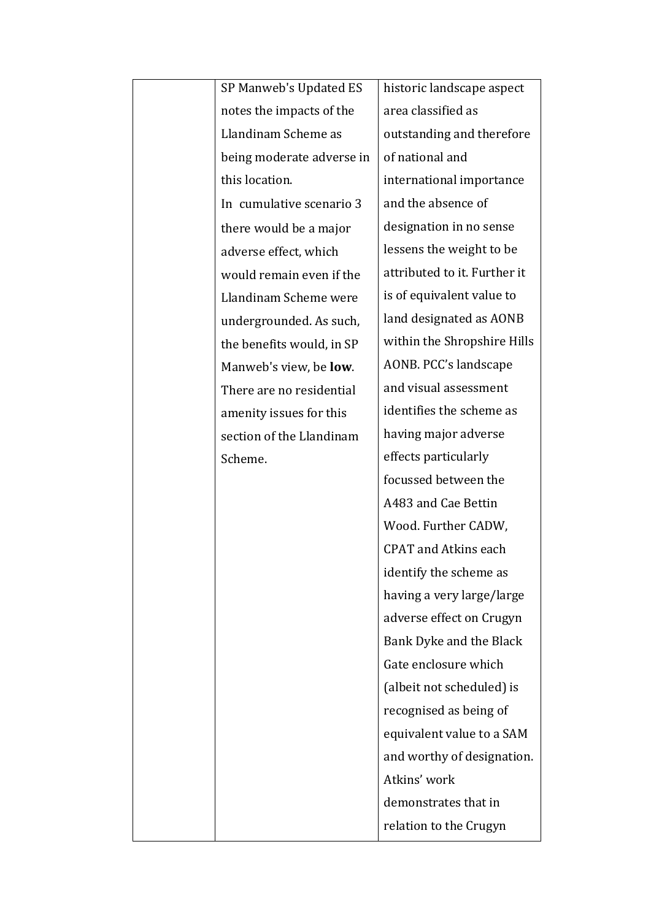|  | SP Manweb's Updated ES         | historic landscape aspect    |
|--|--------------------------------|------------------------------|
|  | notes the impacts of the       | area classified as           |
|  | Llandinam Scheme as            | outstanding and therefore    |
|  | being moderate adverse in      | of national and              |
|  | this location.                 | international importance     |
|  | In cumulative scenario 3       | and the absence of           |
|  | there would be a major         | designation in no sense      |
|  | adverse effect, which          | lessens the weight to be     |
|  | would remain even if the       | attributed to it. Further it |
|  | Llandinam Scheme were          | is of equivalent value to    |
|  | undergrounded. As such,        | land designated as AONB      |
|  | the benefits would, in SP      | within the Shropshire Hills  |
|  | Manweb's view, be <b>low</b> . | AONB. PCC's landscape        |
|  | There are no residential       | and visual assessment        |
|  | amenity issues for this        | identifies the scheme as     |
|  | section of the Llandinam       | having major adverse         |
|  | Scheme.                        | effects particularly         |
|  |                                | focussed between the         |
|  |                                | A483 and Cae Bettin          |
|  |                                | Wood. Further CADW,          |
|  |                                | <b>CPAT</b> and Atkins each  |
|  |                                | identify the scheme as       |
|  |                                | having a very large/large    |
|  |                                | adverse effect on Crugyn     |
|  |                                | Bank Dyke and the Black      |
|  |                                | Gate enclosure which         |
|  |                                | (albeit not scheduled) is    |
|  |                                | recognised as being of       |
|  |                                | equivalent value to a SAM    |
|  |                                | and worthy of designation.   |
|  |                                | Atkins' work                 |
|  |                                | demonstrates that in         |
|  |                                | relation to the Crugyn       |
|  |                                |                              |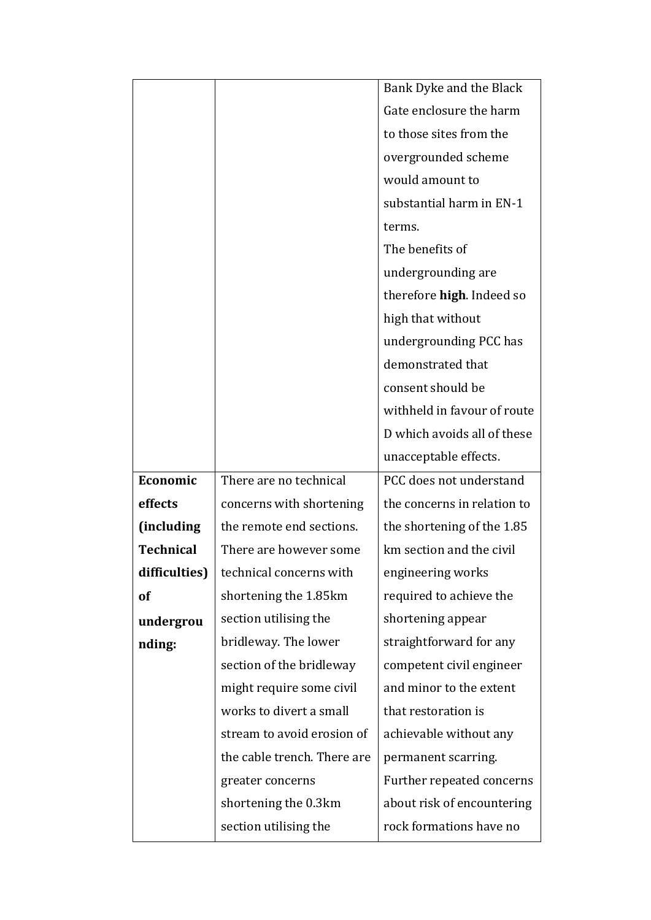|                  |                             | Bank Dyke and the Black     |
|------------------|-----------------------------|-----------------------------|
|                  |                             | Gate enclosure the harm     |
|                  |                             | to those sites from the     |
|                  |                             | overgrounded scheme         |
|                  |                             | would amount to             |
|                  |                             | substantial harm in EN-1    |
|                  |                             | terms.                      |
|                  |                             | The benefits of             |
|                  |                             | undergrounding are          |
|                  |                             | therefore high. Indeed so   |
|                  |                             | high that without           |
|                  |                             | undergrounding PCC has      |
|                  |                             | demonstrated that           |
|                  |                             | consent should be           |
|                  |                             | withheld in favour of route |
|                  |                             | D which avoids all of these |
|                  |                             | unacceptable effects.       |
| Economic         | There are no technical      | PCC does not understand     |
| effects          | concerns with shortening    | the concerns in relation to |
| (including       | the remote end sections.    | the shortening of the 1.85  |
| <b>Technical</b> | There are however some      | km section and the civil    |
| difficulties)    | technical concerns with     | engineering works           |
| <b>of</b>        | shortening the 1.85km       | required to achieve the     |
| undergrou        | section utilising the       | shortening appear           |
| nding:           | bridleway. The lower        | straightforward for any     |
|                  | section of the bridleway    | competent civil engineer    |
|                  | might require some civil    | and minor to the extent     |
|                  | works to divert a small     | that restoration is         |
|                  | stream to avoid erosion of  | achievable without any      |
|                  | the cable trench. There are | permanent scarring.         |
|                  | greater concerns            | Further repeated concerns   |
|                  | shortening the 0.3km        | about risk of encountering  |
|                  | section utilising the       | rock formations have no     |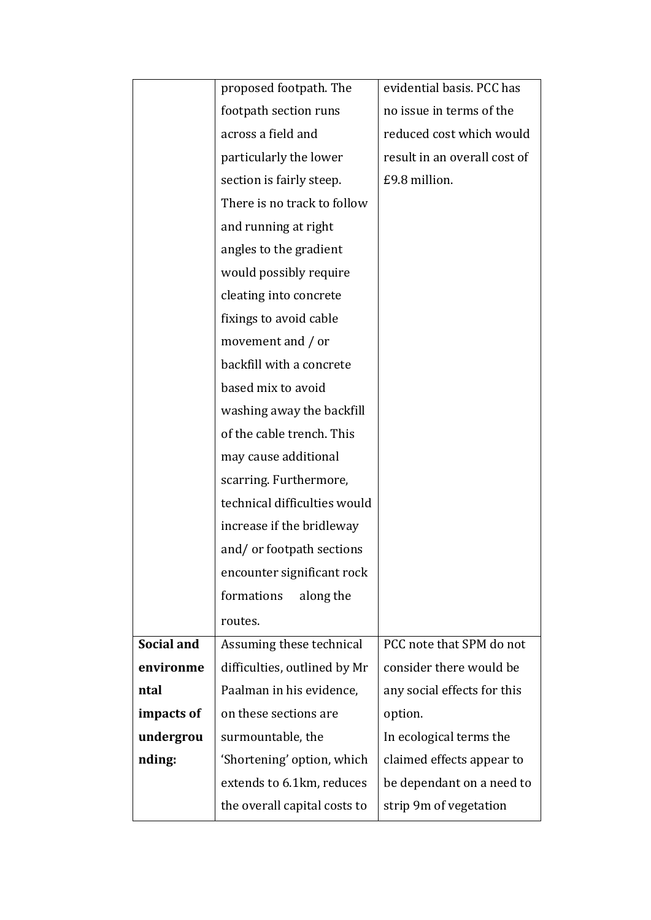|            | proposed footpath. The       | evidential basis. PCC has    |
|------------|------------------------------|------------------------------|
|            | footpath section runs        | no issue in terms of the     |
|            | across a field and           | reduced cost which would     |
|            | particularly the lower       | result in an overall cost of |
|            | section is fairly steep.     | £9.8 million.                |
|            | There is no track to follow  |                              |
|            | and running at right         |                              |
|            | angles to the gradient       |                              |
|            | would possibly require       |                              |
|            | cleating into concrete       |                              |
|            | fixings to avoid cable       |                              |
|            | movement and / or            |                              |
|            | backfill with a concrete     |                              |
|            | based mix to avoid           |                              |
|            | washing away the backfill    |                              |
|            | of the cable trench. This    |                              |
|            | may cause additional         |                              |
|            | scarring. Furthermore,       |                              |
|            | technical difficulties would |                              |
|            | increase if the bridleway    |                              |
|            | and/or footpath sections     |                              |
|            | encounter significant rock   |                              |
|            | formations<br>along the      |                              |
|            | routes.                      |                              |
| Social and | Assuming these technical     | PCC note that SPM do not     |
| environme  | difficulties, outlined by Mr | consider there would be      |
| ntal       | Paalman in his evidence,     | any social effects for this  |
| impacts of | on these sections are        | option.                      |
| undergrou  | surmountable, the            | In ecological terms the      |
| nding:     | 'Shortening' option, which   | claimed effects appear to    |
|            | extends to 6.1km, reduces    | be dependant on a need to    |
|            | the overall capital costs to | strip 9m of vegetation       |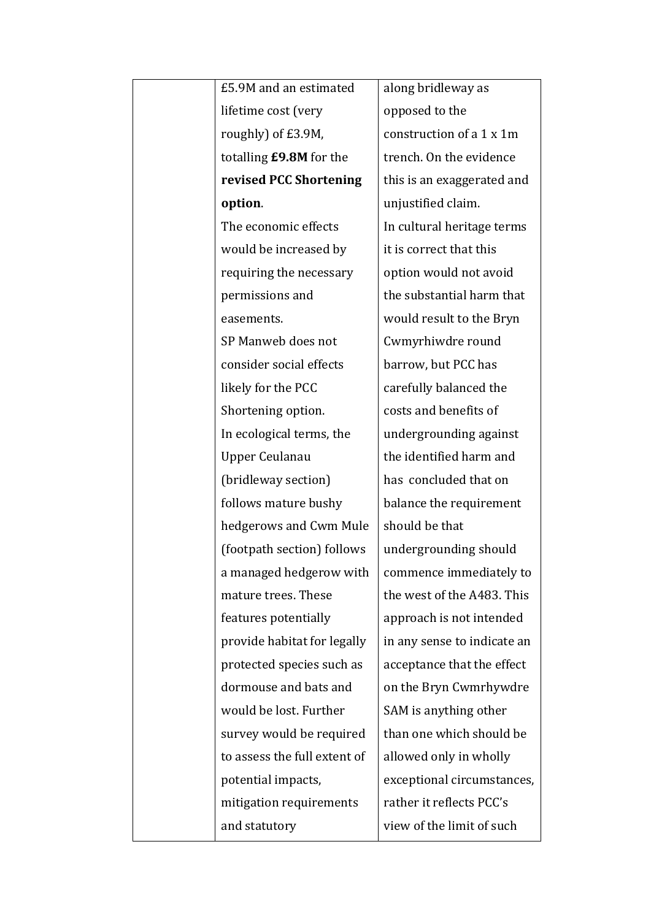| £5.9M and an estimated       | along bridleway as          |
|------------------------------|-----------------------------|
| lifetime cost (very          | opposed to the              |
| roughly) of £3.9M,           | construction of a 1 x 1m    |
| totalling £9.8M for the      | trench. On the evidence     |
| revised PCC Shortening       | this is an exaggerated and  |
| option.                      | unjustified claim.          |
| The economic effects         | In cultural heritage terms  |
| would be increased by        | it is correct that this     |
| requiring the necessary      | option would not avoid      |
| permissions and              | the substantial harm that   |
| easements.                   | would result to the Bryn    |
| SP Manweb does not           | Cwmyrhiwdre round           |
| consider social effects      | barrow, but PCC has         |
| likely for the PCC           | carefully balanced the      |
| Shortening option.           | costs and benefits of       |
| In ecological terms, the     | undergrounding against      |
| <b>Upper Ceulanau</b>        | the identified harm and     |
| (bridleway section)          | has concluded that on       |
| follows mature bushy         | balance the requirement     |
| hedgerows and Cwm Mule       | should be that              |
| (footpath section) follows   | undergrounding should       |
| a managed hedgerow with      | commence immediately to     |
| mature trees. These          | the west of the A483. This  |
| features potentially         | approach is not intended    |
| provide habitat for legally  | in any sense to indicate an |
| protected species such as    | acceptance that the effect  |
| dormouse and bats and        | on the Bryn Cwmrhywdre      |
| would be lost. Further       | SAM is anything other       |
| survey would be required     | than one which should be    |
| to assess the full extent of | allowed only in wholly      |
| potential impacts,           | exceptional circumstances,  |
| mitigation requirements      | rather it reflects PCC's    |
| and statutory                | view of the limit of such   |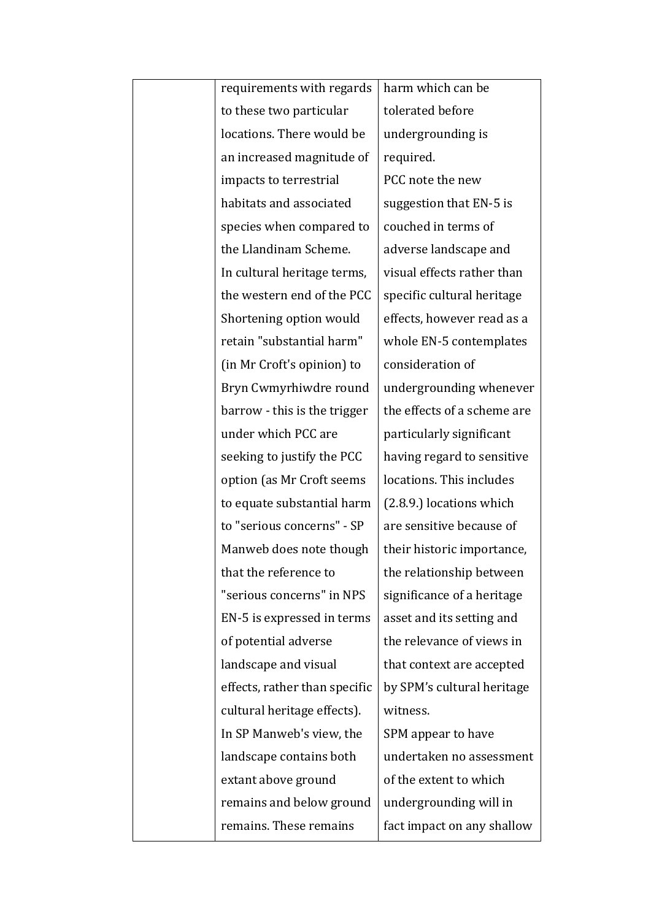| requirements with regards     | harm which can be           |
|-------------------------------|-----------------------------|
| to these two particular       | tolerated before            |
| locations. There would be     | undergrounding is           |
| an increased magnitude of     | required.                   |
| impacts to terrestrial        | PCC note the new            |
| habitats and associated       | suggestion that EN-5 is     |
| species when compared to      | couched in terms of         |
| the Llandinam Scheme.         | adverse landscape and       |
| In cultural heritage terms,   | visual effects rather than  |
| the western end of the PCC    | specific cultural heritage  |
| Shortening option would       | effects, however read as a  |
| retain "substantial harm"     | whole EN-5 contemplates     |
| (in Mr Croft's opinion) to    | consideration of            |
| Bryn Cwmyrhiwdre round        | undergrounding whenever     |
| barrow - this is the trigger  | the effects of a scheme are |
| under which PCC are           | particularly significant    |
| seeking to justify the PCC    | having regard to sensitive  |
| option (as Mr Croft seems     | locations. This includes    |
| to equate substantial harm    | (2.8.9.) locations which    |
| to "serious concerns" - SP    | are sensitive because of    |
| Manweb does note though       | their historic importance,  |
| that the reference to         | the relationship between    |
| "serious concerns" in NPS     | significance of a heritage  |
| EN-5 is expressed in terms    | asset and its setting and   |
| of potential adverse          | the relevance of views in   |
| landscape and visual          | that context are accepted   |
| effects, rather than specific | by SPM's cultural heritage  |
| cultural heritage effects).   | witness.                    |
| In SP Manweb's view, the      | SPM appear to have          |
| landscape contains both       | undertaken no assessment    |
| extant above ground           | of the extent to which      |
| remains and below ground      | undergrounding will in      |
| remains. These remains        | fact impact on any shallow  |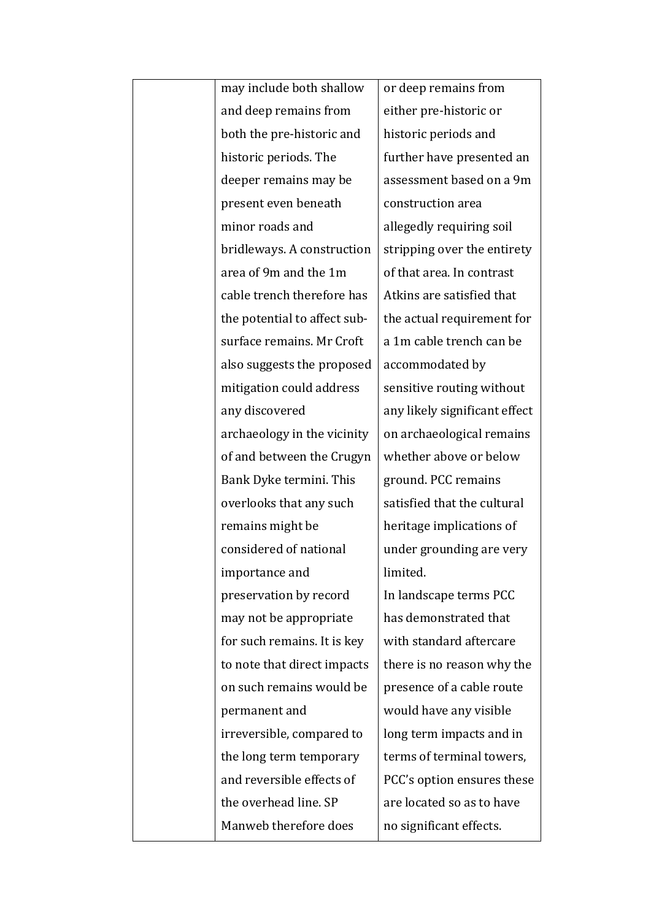| may include both shallow     | or deep remains from          |
|------------------------------|-------------------------------|
| and deep remains from        | either pre-historic or        |
| both the pre-historic and    | historic periods and          |
| historic periods. The        | further have presented an     |
| deeper remains may be        | assessment based on a 9m      |
| present even beneath         | construction area             |
| minor roads and              | allegedly requiring soil      |
| bridleways. A construction   | stripping over the entirety   |
| area of 9m and the 1m        | of that area. In contrast     |
| cable trench therefore has   | Atkins are satisfied that     |
| the potential to affect sub- | the actual requirement for    |
| surface remains. Mr Croft    | a 1m cable trench can be      |
| also suggests the proposed   | accommodated by               |
| mitigation could address     | sensitive routing without     |
| any discovered               | any likely significant effect |
| archaeology in the vicinity  | on archaeological remains     |
| of and between the Crugyn    | whether above or below        |
| Bank Dyke termini. This      | ground. PCC remains           |
| overlooks that any such      | satisfied that the cultural   |
| remains might be             | heritage implications of      |
| considered of national       | under grounding are very      |
| importance and               | limited.                      |
| preservation by record       | In landscape terms PCC        |
| may not be appropriate       | has demonstrated that         |
| for such remains. It is key  | with standard aftercare       |
| to note that direct impacts  | there is no reason why the    |
| on such remains would be     | presence of a cable route     |
| permanent and                | would have any visible        |
| irreversible, compared to    | long term impacts and in      |
| the long term temporary      | terms of terminal towers,     |
| and reversible effects of    | PCC's option ensures these    |
| the overhead line. SP        | are located so as to have     |
| Manweb therefore does        | no significant effects.       |
|                              |                               |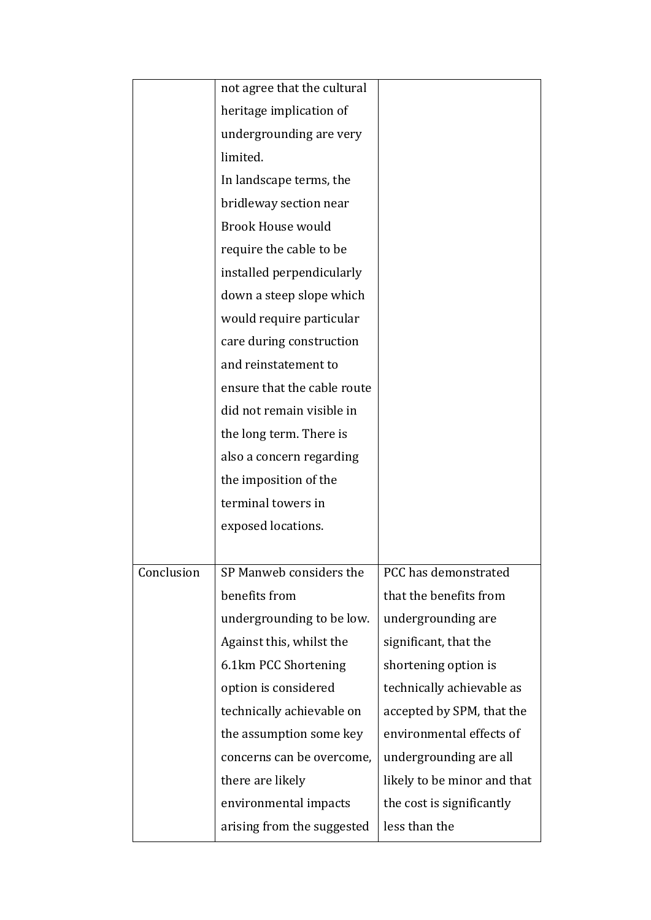|            | not agree that the cultural |                             |
|------------|-----------------------------|-----------------------------|
|            | heritage implication of     |                             |
|            | undergrounding are very     |                             |
|            | limited.                    |                             |
|            | In landscape terms, the     |                             |
|            | bridleway section near      |                             |
|            | <b>Brook House would</b>    |                             |
|            | require the cable to be     |                             |
|            | installed perpendicularly   |                             |
|            | down a steep slope which    |                             |
|            | would require particular    |                             |
|            | care during construction    |                             |
|            | and reinstatement to        |                             |
|            | ensure that the cable route |                             |
|            | did not remain visible in   |                             |
|            | the long term. There is     |                             |
|            | also a concern regarding    |                             |
|            | the imposition of the       |                             |
|            | terminal towers in          |                             |
|            | exposed locations.          |                             |
|            |                             |                             |
| Conclusion | SP Manweb considers the     | PCC has demonstrated        |
|            | benefits from               | that the benefits from      |
|            | undergrounding to be low.   | undergrounding are          |
|            | Against this, whilst the    | significant, that the       |
|            | 6.1km PCC Shortening        | shortening option is        |
|            | option is considered        | technically achievable as   |
|            | technically achievable on   | accepted by SPM, that the   |
|            | the assumption some key     | environmental effects of    |
|            | concerns can be overcome,   | undergrounding are all      |
|            | there are likely            | likely to be minor and that |
|            | environmental impacts       | the cost is significantly   |
|            | arising from the suggested  | less than the               |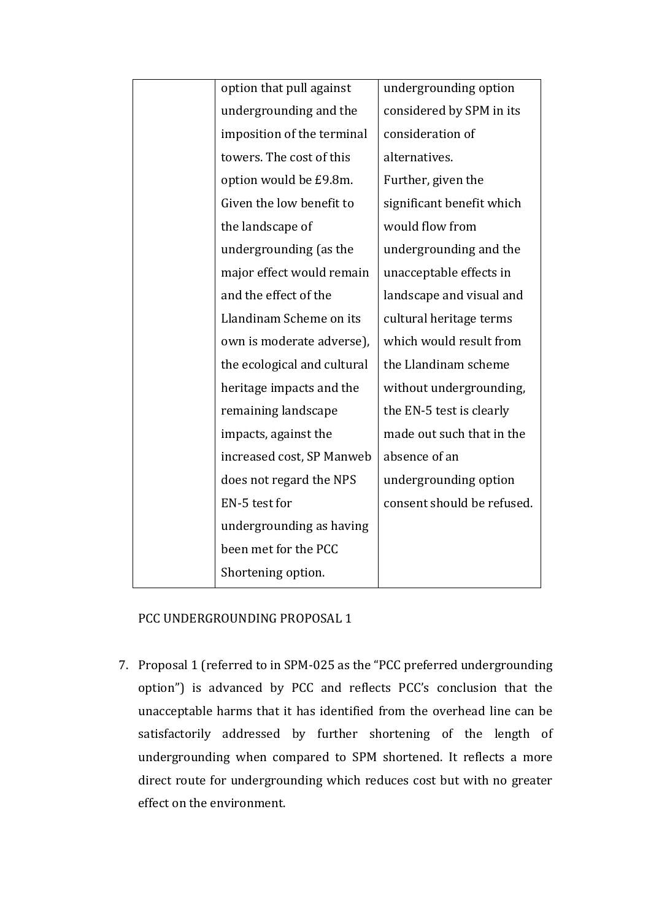| option that pull against    | undergrounding option      |
|-----------------------------|----------------------------|
| undergrounding and the      | considered by SPM in its   |
| imposition of the terminal  | consideration of           |
| towers. The cost of this    | alternatives.              |
| option would be £9.8m.      | Further, given the         |
| Given the low benefit to    | significant benefit which  |
| the landscape of            | would flow from            |
| undergrounding (as the      | undergrounding and the     |
| major effect would remain   | unacceptable effects in    |
| and the effect of the       | landscape and visual and   |
| Llandinam Scheme on its     | cultural heritage terms    |
| own is moderate adverse),   | which would result from    |
| the ecological and cultural | the Llandinam scheme       |
| heritage impacts and the    | without undergrounding,    |
| remaining landscape         | the EN-5 test is clearly   |
| impacts, against the        | made out such that in the  |
| increased cost, SP Manweb   | absence of an              |
| does not regard the NPS     | undergrounding option      |
| EN-5 test for               | consent should be refused. |
| undergrounding as having    |                            |
| been met for the PCC        |                            |
| Shortening option.          |                            |
|                             |                            |

PCC UNDERGROUNDING PROPOSAL 1

7. Proposal 1 (referred to in SPM-025 as the "PCC preferred undergrounding option") is advanced by PCC and reflects PCC's conclusion that the unacceptable harms that it has identified from the overhead line can be satisfactorily addressed by further shortening of the length of undergrounding when compared to SPM shortened. It reflects a more direct route for undergrounding which reduces cost but with no greater effect on the environment.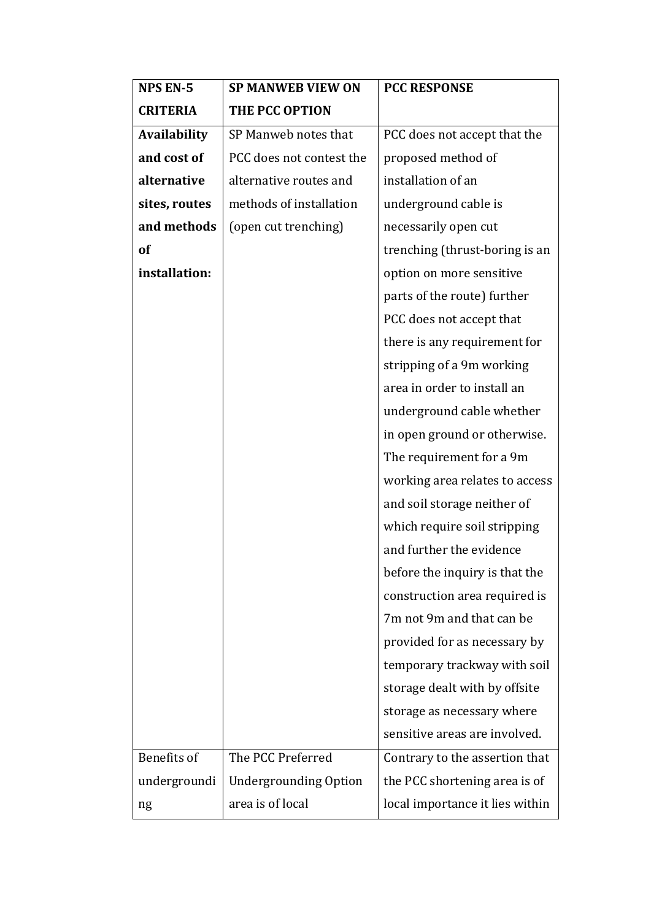| <b>NPS EN-5</b>     | <b>SP MANWEB VIEW ON</b>     | <b>PCC RESPONSE</b>             |
|---------------------|------------------------------|---------------------------------|
| <b>CRITERIA</b>     | THE PCC OPTION               |                                 |
| <b>Availability</b> | SP Manweb notes that         | PCC does not accept that the    |
| and cost of         | PCC does not contest the     | proposed method of              |
| alternative         | alternative routes and       | installation of an              |
| sites, routes       | methods of installation      | underground cable is            |
| and methods         | (open cut trenching)         | necessarily open cut            |
| of                  |                              | trenching (thrust-boring is an  |
| installation:       |                              | option on more sensitive        |
|                     |                              | parts of the route) further     |
|                     |                              | PCC does not accept that        |
|                     |                              | there is any requirement for    |
|                     |                              | stripping of a 9m working       |
|                     |                              | area in order to install an     |
|                     |                              | underground cable whether       |
|                     |                              | in open ground or otherwise.    |
|                     |                              | The requirement for a 9m        |
|                     |                              | working area relates to access  |
|                     |                              | and soil storage neither of     |
|                     |                              | which require soil stripping    |
|                     |                              | and further the evidence        |
|                     |                              | before the inquiry is that the  |
|                     |                              | construction area required is   |
|                     |                              | 7m not 9m and that can be       |
|                     |                              | provided for as necessary by    |
|                     |                              | temporary trackway with soil    |
|                     |                              | storage dealt with by offsite   |
|                     |                              | storage as necessary where      |
|                     |                              | sensitive areas are involved.   |
| Benefits of         | The PCC Preferred            | Contrary to the assertion that  |
| undergroundi        | <b>Undergrounding Option</b> | the PCC shortening area is of   |
| ng                  | area is of local             | local importance it lies within |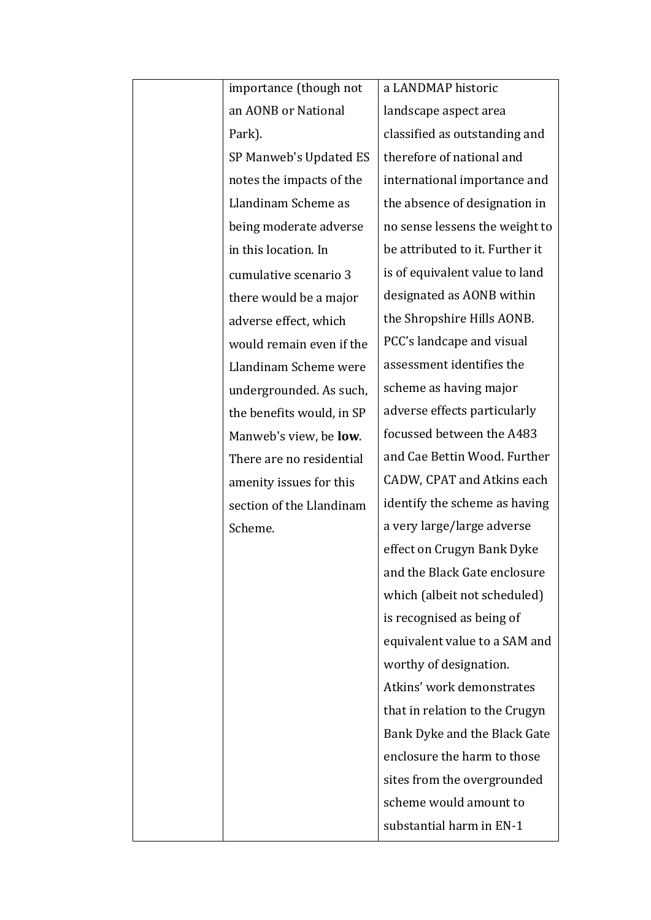| importance (though not                          | a LANDMAP historic              |
|-------------------------------------------------|---------------------------------|
| an AONB or National                             | landscape aspect area           |
| Park).                                          | classified as outstanding and   |
| SP Manweb's Updated ES                          | therefore of national and       |
| notes the impacts of the                        | international importance and    |
| Llandinam Scheme as                             | the absence of designation in   |
| being moderate adverse                          | no sense lessens the weight to  |
| in this location. In                            | be attributed to it. Further it |
| cumulative scenario 3                           | is of equivalent value to land  |
|                                                 | designated as AONB within       |
| there would be a major<br>adverse effect, which | the Shropshire Hills AONB.      |
| would remain even if the                        | PCC's landcape and visual       |
|                                                 | assessment identifies the       |
| Llandinam Scheme were                           | scheme as having major          |
| undergrounded. As such,                         | adverse effects particularly    |
| the benefits would, in SP                       | focussed between the A483       |
| Manweb's view, be low.                          |                                 |
| There are no residential                        | and Cae Bettin Wood. Further    |
| amenity issues for this                         | CADW, CPAT and Atkins each      |
| section of the Llandinam                        | identify the scheme as having   |
| Scheme.                                         | a very large/large adverse      |
|                                                 | effect on Crugyn Bank Dyke      |
|                                                 | and the Black Gate enclosure    |
|                                                 | which (albeit not scheduled)    |
|                                                 | is recognised as being of       |
|                                                 | equivalent value to a SAM and   |
|                                                 | worthy of designation.          |
|                                                 | Atkins' work demonstrates       |
|                                                 | that in relation to the Crugyn  |
|                                                 | Bank Dyke and the Black Gate    |
|                                                 | enclosure the harm to those     |
|                                                 | sites from the overgrounded     |
|                                                 | scheme would amount to          |
|                                                 | substantial harm in EN-1        |
|                                                 |                                 |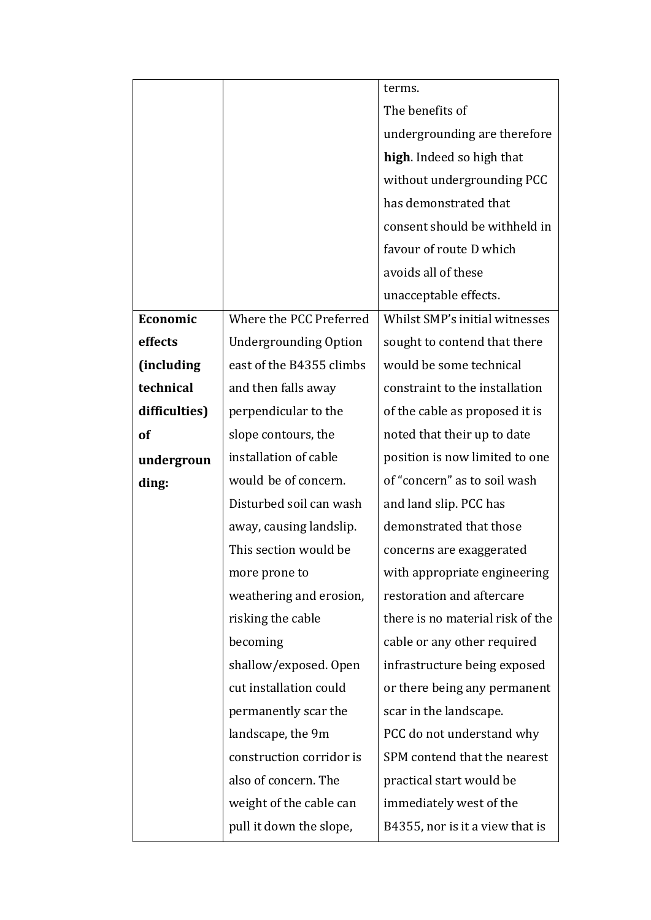|               |                              | terms.                           |
|---------------|------------------------------|----------------------------------|
|               |                              | The benefits of                  |
|               |                              | undergrounding are therefore     |
|               |                              | high. Indeed so high that        |
|               |                              | without undergrounding PCC       |
|               |                              | has demonstrated that            |
|               |                              | consent should be withheld in    |
|               |                              | favour of route D which          |
|               |                              | avoids all of these              |
|               |                              | unacceptable effects.            |
| Economic      | Where the PCC Preferred      | Whilst SMP's initial witnesses   |
| effects       | <b>Undergrounding Option</b> | sought to contend that there     |
| (including    | east of the B4355 climbs     | would be some technical          |
| technical     | and then falls away          | constraint to the installation   |
| difficulties) | perpendicular to the         | of the cable as proposed it is   |
| of            | slope contours, the          | noted that their up to date      |
| undergroun    | installation of cable        | position is now limited to one   |
| ding:         | would be of concern.         | of "concern" as to soil wash     |
|               | Disturbed soil can wash      | and land slip. PCC has           |
|               | away, causing landslip.      | demonstrated that those          |
|               | This section would be        | concerns are exaggerated         |
|               | more prone to                | with appropriate engineering     |
|               | weathering and erosion,      | restoration and aftercare        |
|               | risking the cable            | there is no material risk of the |
|               | becoming                     | cable or any other required      |
|               | shallow/exposed. Open        | infrastructure being exposed     |
|               | cut installation could       | or there being any permanent     |
|               | permanently scar the         | scar in the landscape.           |
|               | landscape, the 9m            | PCC do not understand why        |
|               | construction corridor is     | SPM contend that the nearest     |
|               | also of concern. The         | practical start would be         |
|               | weight of the cable can      | immediately west of the          |
|               | pull it down the slope,      | B4355, nor is it a view that is  |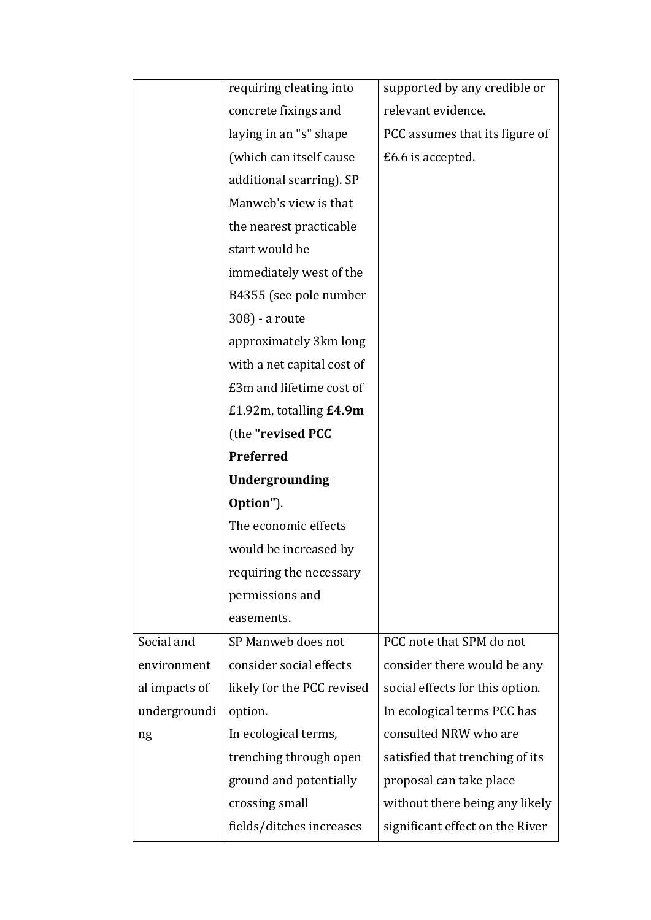|               | requiring cleating into    | supported by any credible or    |
|---------------|----------------------------|---------------------------------|
|               | concrete fixings and       | relevant evidence.              |
|               | laying in an "s" shape     | PCC assumes that its figure of  |
|               | (which can itself cause    | £6.6 is accepted.               |
|               | additional scarring). SP   |                                 |
|               | Manweb's view is that      |                                 |
|               | the nearest practicable    |                                 |
|               | start would be             |                                 |
|               | immediately west of the    |                                 |
|               | B4355 (see pole number     |                                 |
|               | 308) - a route             |                                 |
|               | approximately 3km long     |                                 |
|               | with a net capital cost of |                                 |
|               | £3m and lifetime cost of   |                                 |
|               | £1.92m, totalling $£4.9m$  |                                 |
|               | (the "revised PCC          |                                 |
|               | Preferred                  |                                 |
|               |                            |                                 |
|               | <b>Undergrounding</b>      |                                 |
|               | Option").                  |                                 |
|               | The economic effects       |                                 |
|               | would be increased by      |                                 |
|               | requiring the necessary    |                                 |
|               | permissions and            |                                 |
|               | easements.                 |                                 |
| Social and    | SP Manweb does not         | PCC note that SPM do not        |
| environment   | consider social effects    | consider there would be any     |
| al impacts of | likely for the PCC revised | social effects for this option. |
| undergroundi  | option.                    | In ecological terms PCC has     |
| ng            | In ecological terms,       | consulted NRW who are           |
|               | trenching through open     | satisfied that trenching of its |
|               | ground and potentially     | proposal can take place         |
|               | crossing small             | without there being any likely  |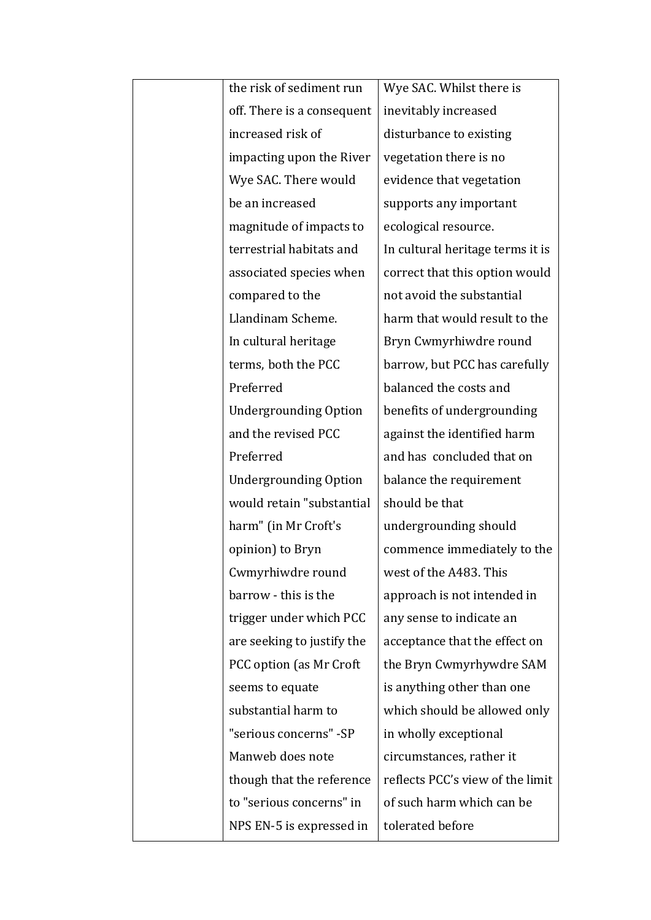| the risk of sediment run     | Wye SAC. Whilst there is         |
|------------------------------|----------------------------------|
| off. There is a consequent   | inevitably increased             |
| increased risk of            | disturbance to existing          |
| impacting upon the River     | vegetation there is no           |
| Wye SAC. There would         | evidence that vegetation         |
| be an increased              | supports any important           |
| magnitude of impacts to      | ecological resource.             |
| terrestrial habitats and     | In cultural heritage terms it is |
| associated species when      | correct that this option would   |
| compared to the              | not avoid the substantial        |
| Llandinam Scheme.            | harm that would result to the    |
| In cultural heritage         | Bryn Cwmyrhiwdre round           |
| terms, both the PCC          | barrow, but PCC has carefully    |
| Preferred                    | balanced the costs and           |
| <b>Undergrounding Option</b> | benefits of undergrounding       |
| and the revised PCC          | against the identified harm      |
| Preferred                    | and has concluded that on        |
| <b>Undergrounding Option</b> | balance the requirement          |
| would retain "substantial    | should be that                   |
| harm" (in Mr Croft's         | undergrounding should            |
| opinion) to Bryn             | commence immediately to the      |
| Cwmyrhiwdre round            | west of the A483. This           |
| barrow - this is the         | approach is not intended in      |
| trigger under which PCC      | any sense to indicate an         |
| are seeking to justify the   | acceptance that the effect on    |
| PCC option (as Mr Croft      | the Bryn Cwmyrhywdre SAM         |
| seems to equate              | is anything other than one       |
| substantial harm to          | which should be allowed only     |
| "serious concerns" -SP       | in wholly exceptional            |
| Manweb does note             | circumstances, rather it         |
| though that the reference    | reflects PCC's view of the limit |
| to "serious concerns" in     | of such harm which can be        |
| NPS EN-5 is expressed in     | tolerated before                 |
|                              |                                  |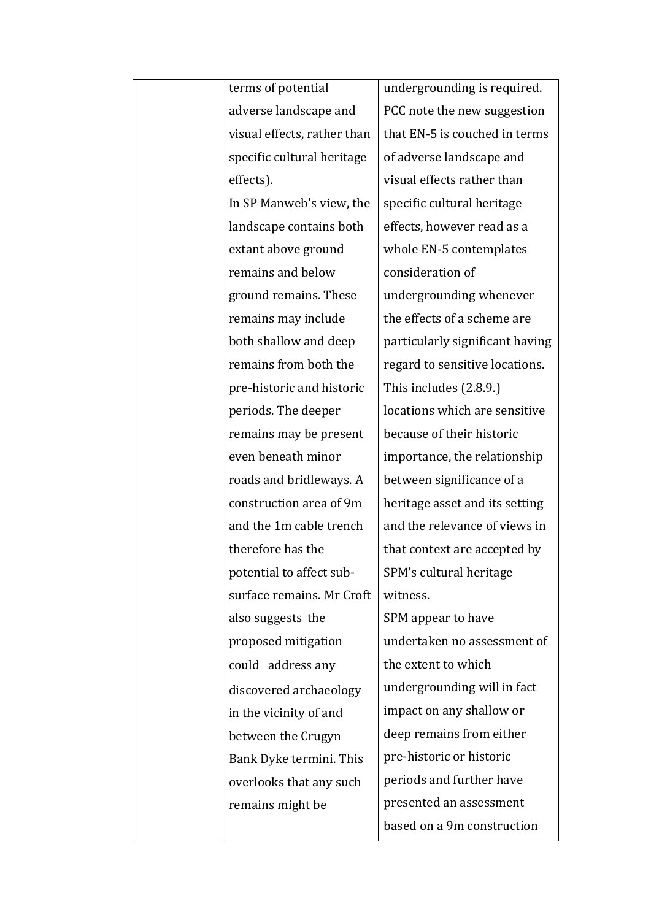| terms of potential          | undergrounding is required.     |
|-----------------------------|---------------------------------|
| adverse landscape and       | PCC note the new suggestion     |
| visual effects, rather than | that EN-5 is couched in terms   |
| specific cultural heritage  | of adverse landscape and        |
| effects).                   | visual effects rather than      |
| In SP Manweb's view, the    | specific cultural heritage      |
| landscape contains both     | effects, however read as a      |
| extant above ground         | whole EN-5 contemplates         |
| remains and below           | consideration of                |
| ground remains. These       | undergrounding whenever         |
| remains may include         | the effects of a scheme are     |
| both shallow and deep       | particularly significant having |
| remains from both the       | regard to sensitive locations.  |
| pre-historic and historic   | This includes (2.8.9.)          |
| periods. The deeper         | locations which are sensitive   |
| remains may be present      | because of their historic       |
| even beneath minor          | importance, the relationship    |
| roads and bridleways. A     | between significance of a       |
| construction area of 9m     | heritage asset and its setting  |
| and the 1m cable trench     | and the relevance of views in   |
| therefore has the           | that context are accepted by    |
| potential to affect sub-    | SPM's cultural heritage         |
| surface remains. Mr Croft   | witness.                        |
| also suggests the           | SPM appear to have              |
| proposed mitigation         | undertaken no assessment of     |
| could address any           | the extent to which             |
| discovered archaeology      | undergrounding will in fact     |
| in the vicinity of and      | impact on any shallow or        |
| between the Crugyn          | deep remains from either        |
| Bank Dyke termini. This     | pre-historic or historic        |
| overlooks that any such     | periods and further have        |
| remains might be            | presented an assessment         |
|                             | based on a 9m construction      |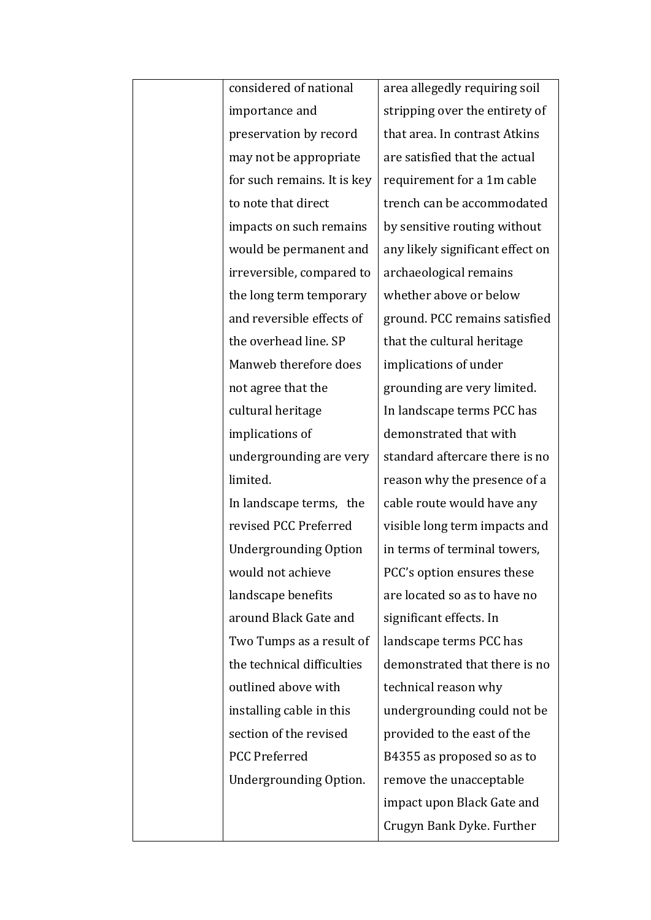| considered of national       | area alleged        |
|------------------------------|---------------------|
| importance and               | stripping ov        |
| preservation by record       | that area. In       |
| may not be appropriate       | are satisfied       |
| for such remains. It is key  | requiremen          |
| to note that direct          | trench can b        |
| impacts on such remains      | by sensitive        |
| would be permanent and       | any likely si       |
| irreversible, compared to    | archaeologi         |
| the long term temporary      | whether ab          |
| and reversible effects of    | ground. PCO         |
| the overhead line. SP        | that the cult       |
| Manweb therefore does        | <i>implications</i> |
| not agree that the           | grounding a         |
| cultural heritage            | In landscap         |
| implications of              | demonstrat          |
| undergrounding are very      | standard aft        |
| limited.                     | reason why          |
| In landscape terms, the      | cable route         |
| revised PCC Preferred        | visible long        |
| <b>Undergrounding Option</b> | in terms of t       |
| would not achieve            | PCC's option        |
| landscape benefits           | are located         |
| around Black Gate and        | significant e       |
| Two Tumps as a result of     | landscape te        |
| the technical difficulties   | demonstrat          |
| outlined above with          | technical re        |
| installing cable in this     | undergroun          |
| section of the revised       | provided to         |
| <b>PCC Preferred</b>         | B4355 as pr         |
| Undergrounding Option.       | remove the          |
|                              | impact upor         |
|                              | Crugyn Ban          |

dly requiring soil ver the entirety of n contrast Atkins d that the actual refor a 1m cable  $be\,a$  commodated routing without ignificant effect on cal remains ove or below  $\mathbb C$  remains satisfied tural heritage s of under are very limited. e terms PCC has ed that with tercare there is no the presence of a would have any term impacts and terminal towers, n ensures these so as to have no effects. In erms PCC has  $ed$  that there is no ason why ding could not be the east of the roposed so as to unacceptable n Black Gate and k Dyke. Further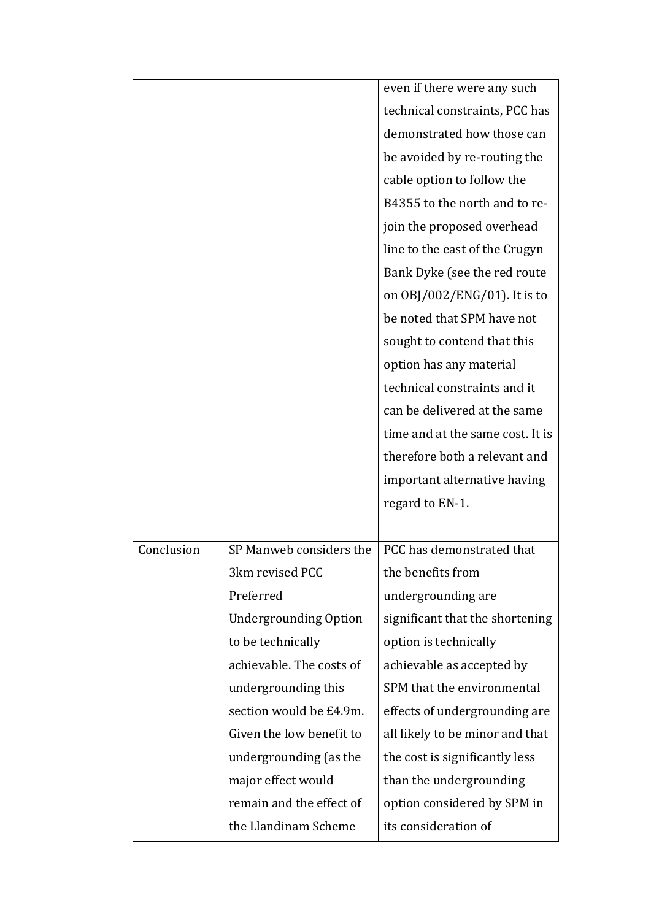|            |                              | even if there were any such      |
|------------|------------------------------|----------------------------------|
|            |                              | technical constraints, PCC has   |
|            |                              | demonstrated how those can       |
|            |                              | be avoided by re-routing the     |
|            |                              | cable option to follow the       |
|            |                              | B4355 to the north and to re-    |
|            |                              | join the proposed overhead       |
|            |                              | line to the east of the Crugyn   |
|            |                              | Bank Dyke (see the red route     |
|            |                              | on OBJ/002/ENG/01). It is to     |
|            |                              | be noted that SPM have not       |
|            |                              | sought to contend that this      |
|            |                              | option has any material          |
|            |                              | technical constraints and it     |
|            |                              | can be delivered at the same     |
|            |                              | time and at the same cost. It is |
|            |                              | therefore both a relevant and    |
|            |                              | important alternative having     |
|            |                              | regard to EN-1.                  |
|            |                              |                                  |
| Conclusion | SP Manweb considers the      | PCC has demonstrated that        |
|            | 3km revised PCC              | the benefits from                |
|            | Preferred                    | undergrounding are               |
|            | <b>Undergrounding Option</b> | significant that the shortening  |
|            | to be technically            | option is technically            |
|            | achievable. The costs of     | achievable as accepted by        |
|            | undergrounding this          | SPM that the environmental       |
|            | section would be £4.9m.      | effects of undergrounding are    |
|            | Given the low benefit to     | all likely to be minor and that  |
|            | undergrounding (as the       | the cost is significantly less   |
|            | major effect would           | than the undergrounding          |
|            | remain and the effect of     | option considered by SPM in      |
|            | the Llandinam Scheme         | its consideration of             |